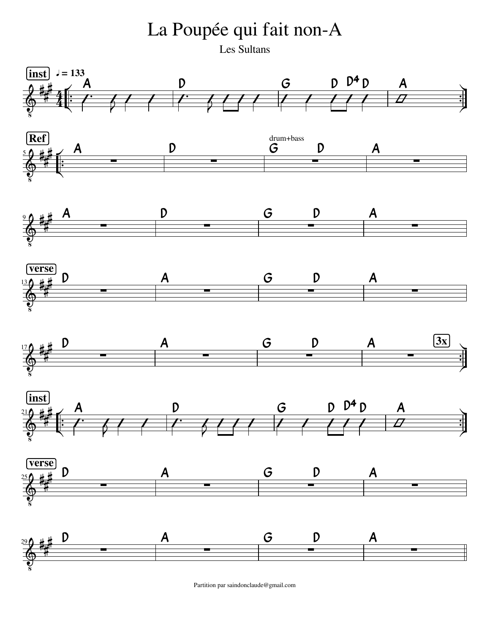La Poupée qui fait non-A

Les Sultans



Partition par saindonclaude@gmail.com